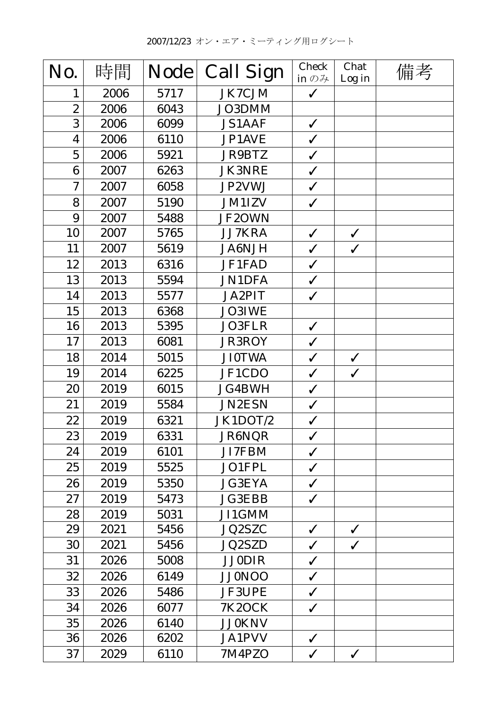| No.                     | 時間   | <b>Node</b> | <b>Call Sign</b> | <b>Check</b><br>in $\mathcal{D}$ $\mathcal{H}$ | Chat<br>Log in | 備考 |
|-------------------------|------|-------------|------------------|------------------------------------------------|----------------|----|
| 1                       | 2006 | 5717        | JK7CJM           | $\checkmark$                                   |                |    |
| $\boldsymbol{2}$        | 2006 | 6043        | JO3DMM           |                                                |                |    |
| 3                       | 2006 | 6099        | <b>JS1AAF</b>    | $\checkmark$                                   |                |    |
| $\overline{\mathbf{4}}$ | 2006 | 6110        | JP1AVE           | $\checkmark$                                   |                |    |
| $\overline{5}$          | 2006 | 5921        | JR9BTZ           | $\checkmark$                                   |                |    |
| 6                       | 2007 | 6263        | <b>JK3NRE</b>    | $\checkmark$                                   |                |    |
| $\boldsymbol{7}$        | 2007 | 6058        | JP2VWJ           | $\checkmark$                                   |                |    |
| 8                       | 2007 | 5190        | <b>JM1IZV</b>    | $\checkmark$                                   |                |    |
| 9                       | 2007 | 5488        | JF2OWN           |                                                |                |    |
| 10                      | 2007 | 5765        | JJ7KRA           | $\checkmark$                                   | $\checkmark$   |    |
| 11                      | 2007 | 5619        | <b>JA6NJH</b>    | $\checkmark$                                   | $\checkmark$   |    |
| 12                      | 2013 | 6316        | JF1FAD           | $\checkmark$                                   |                |    |
| 13                      | 2013 | 5594        | <b>JN1DFA</b>    | $\checkmark$                                   |                |    |
| 14                      | 2013 | 5577        | JA2PIT           | $\checkmark$                                   |                |    |
| 15                      | 2013 | 6368        | <b>JO3IWE</b>    |                                                |                |    |
| 16                      | 2013 | 5395        | JO3FLR           | $\checkmark$                                   |                |    |
| 17                      | 2013 | 6081        | <b>JR3ROY</b>    | $\checkmark$                                   |                |    |
| 18                      | 2014 | 5015        | <b>JI0TWA</b>    | $\checkmark$                                   | $\checkmark$   |    |
| 19                      | 2014 | 6225        | JF1CDO           | $\checkmark$                                   | $\checkmark$   |    |
| 20                      | 2019 | 6015        | <b>JG4BWH</b>    | $\checkmark$                                   |                |    |
| 21                      | 2019 | 5584        | <b>JN2ESN</b>    | $\checkmark$                                   |                |    |
| 22                      | 2019 | 6321        | JK1DOT/2         | $\checkmark$                                   |                |    |
| 23                      | 2019 | 6331        | <b>JR6NQR</b>    | $\checkmark$                                   |                |    |
| 24                      | 2019 | 6101        | JI7FBM           | $\checkmark$                                   |                |    |
| 25                      | 2019 | 5525        | JO1FPL           | $\checkmark$                                   |                |    |
| 26                      | 2019 | 5350        | <b>JG3EYA</b>    | $\checkmark$                                   |                |    |
| 27                      | 2019 | 5473        | <b>JG3EBB</b>    | $\checkmark$                                   |                |    |
| 28                      | 2019 | 5031        | JI1GMM           |                                                |                |    |
| 29                      | 2021 | 5456        | <b>JQ2SZC</b>    | $\checkmark$                                   | $\checkmark$   |    |
| 30                      | 2021 | 5456        | <b>JQ2SZD</b>    | $\checkmark$                                   | $\checkmark$   |    |
| 31                      | 2026 | 5008        | <b>JJ0DIR</b>    | $\checkmark$                                   |                |    |
| 32                      | 2026 | 6149        | <b>JJ0NOO</b>    | $\checkmark$                                   |                |    |
| 33                      | 2026 | 5486        | <b>JF3UPE</b>    | $\checkmark$                                   |                |    |
| 34                      | 2026 | 6077        | <b>7K2OCK</b>    | $\checkmark$                                   |                |    |
| 35                      | 2026 | 6140        | <b>JJ0KNV</b>    |                                                |                |    |
| 36                      | 2026 | 6202        | <b>JA1PVV</b>    | $\checkmark$                                   |                |    |
| 37                      | 2029 | 6110        | 7M4PZO           | $\checkmark$                                   | $\checkmark$   |    |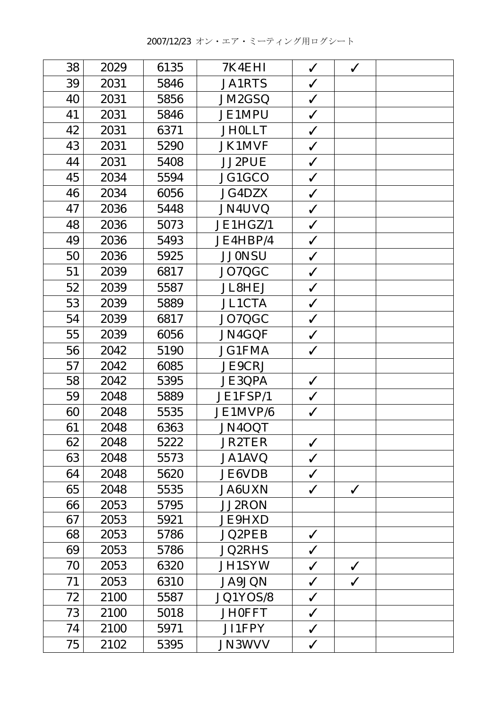| 38 | 2029 | 6135 | 7K4EHI        | $\checkmark$ | $\checkmark$ |  |
|----|------|------|---------------|--------------|--------------|--|
| 39 | 2031 | 5846 | <b>JA1RTS</b> | $\checkmark$ |              |  |
| 40 | 2031 | 5856 | JM2GSQ        | $\checkmark$ |              |  |
| 41 | 2031 | 5846 | <b>JE1MPU</b> | $\checkmark$ |              |  |
| 42 | 2031 | 6371 | <b>JH0LLT</b> | $\checkmark$ |              |  |
| 43 | 2031 | 5290 | <b>JK1MVF</b> | $\checkmark$ |              |  |
| 44 | 2031 | 5408 | JJ2PUE        | $\checkmark$ |              |  |
| 45 | 2034 | 5594 | JG1GCO        | $\checkmark$ |              |  |
| 46 | 2034 | 6056 | <b>JG4DZX</b> | $\checkmark$ |              |  |
| 47 | 2036 | 5448 | JN4UVQ        | $\checkmark$ |              |  |
| 48 | 2036 | 5073 | JE1HGZ/1      | $\checkmark$ |              |  |
| 49 | 2036 | 5493 | JE4HBP/4      | $\checkmark$ |              |  |
| 50 | 2036 | 5925 | <b>JJ0NSU</b> | $\checkmark$ |              |  |
| 51 | 2039 | 6817 | JO7QGC        | $\checkmark$ |              |  |
| 52 | 2039 | 5587 | <b>JL8HEJ</b> | $\checkmark$ |              |  |
| 53 | 2039 | 5889 | <b>JL1CTA</b> | $\checkmark$ |              |  |
| 54 | 2039 | 6817 | JO7QGC        | $\checkmark$ |              |  |
| 55 | 2039 | 6056 | JN4GQF        | $\checkmark$ |              |  |
| 56 | 2042 | 5190 | <b>JG1FMA</b> | $\checkmark$ |              |  |
| 57 | 2042 | 6085 | <b>JE9CRJ</b> |              |              |  |
| 58 | 2042 | 5395 | <b>JE3QPA</b> | $\checkmark$ |              |  |
| 59 | 2048 | 5889 | JE1FSP/1      | $\checkmark$ |              |  |
| 60 | 2048 | 5535 | JE1MVP/6      | $\checkmark$ |              |  |
| 61 | 2048 | 6363 | JN4OQT        |              |              |  |
| 62 | 2048 | 5222 | <b>JR2TER</b> | $\checkmark$ |              |  |
| 63 | 2048 | 5573 | JA1AVQ        | $\checkmark$ |              |  |
| 64 | 2048 | 5620 | <b>JE6VDB</b> | $\checkmark$ |              |  |
| 65 | 2048 | 5535 | <b>JA6UXN</b> | $\checkmark$ | $\checkmark$ |  |
| 66 | 2053 | 5795 | <b>JJ2RON</b> |              |              |  |
| 67 | 2053 | 5921 | <b>JE9HXD</b> |              |              |  |
| 68 | 2053 | 5786 | <b>JQ2PEB</b> | $\checkmark$ |              |  |
| 69 | 2053 | 5786 | <b>JQ2RHS</b> | $\checkmark$ |              |  |
| 70 | 2053 | 6320 | <b>JH1SYW</b> | $\checkmark$ | $\checkmark$ |  |
| 71 | 2053 | 6310 | <b>JA9JQN</b> | $\checkmark$ | $\checkmark$ |  |
| 72 | 2100 | 5587 | JQ1YOS/8      | $\checkmark$ |              |  |
| 73 | 2100 | 5018 | <b>JH0FFT</b> | $\checkmark$ |              |  |
| 74 | 2100 | 5971 | JI1FPY        | $\checkmark$ |              |  |
| 75 | 2102 | 5395 | <b>JN3WVV</b> | $\checkmark$ |              |  |